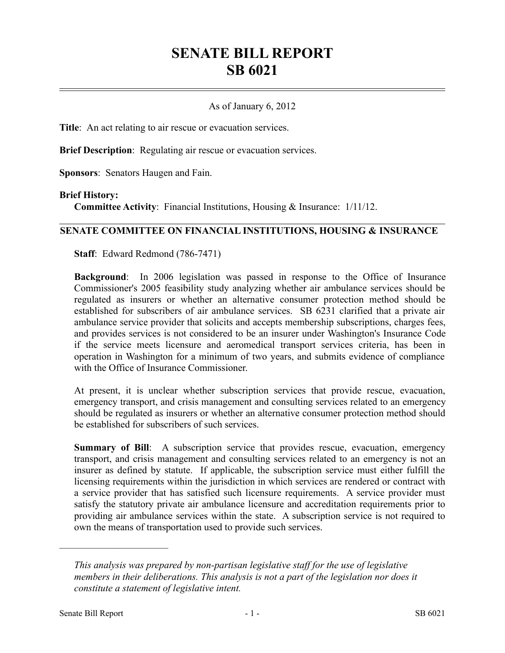# **SENATE BILL REPORT SB 6021**

### As of January 6, 2012

**Title**: An act relating to air rescue or evacuation services.

**Brief Description**: Regulating air rescue or evacuation services.

**Sponsors**: Senators Haugen and Fain.

#### **Brief History:**

**Committee Activity**: Financial Institutions, Housing & Insurance: 1/11/12.

#### **SENATE COMMITTEE ON FINANCIAL INSTITUTIONS, HOUSING & INSURANCE**

**Staff**: Edward Redmond (786-7471)

**Background**: In 2006 legislation was passed in response to the Office of Insurance Commissioner's 2005 feasibility study analyzing whether air ambulance services should be regulated as insurers or whether an alternative consumer protection method should be established for subscribers of air ambulance services. SB 6231 clarified that a private air ambulance service provider that solicits and accepts membership subscriptions, charges fees, and provides services is not considered to be an insurer under Washington's Insurance Code if the service meets licensure and aeromedical transport services criteria, has been in operation in Washington for a minimum of two years, and submits evidence of compliance with the Office of Insurance Commissioner.

At present, it is unclear whether subscription services that provide rescue, evacuation, emergency transport, and crisis management and consulting services related to an emergency should be regulated as insurers or whether an alternative consumer protection method should be established for subscribers of such services.

**Summary of Bill**: A subscription service that provides rescue, evacuation, emergency transport, and crisis management and consulting services related to an emergency is not an insurer as defined by statute. If applicable, the subscription service must either fulfill the licensing requirements within the jurisdiction in which services are rendered or contract with a service provider that has satisfied such licensure requirements. A service provider must satisfy the statutory private air ambulance licensure and accreditation requirements prior to providing air ambulance services within the state. A subscription service is not required to own the means of transportation used to provide such services.

––––––––––––––––––––––

*This analysis was prepared by non-partisan legislative staff for the use of legislative members in their deliberations. This analysis is not a part of the legislation nor does it constitute a statement of legislative intent.*